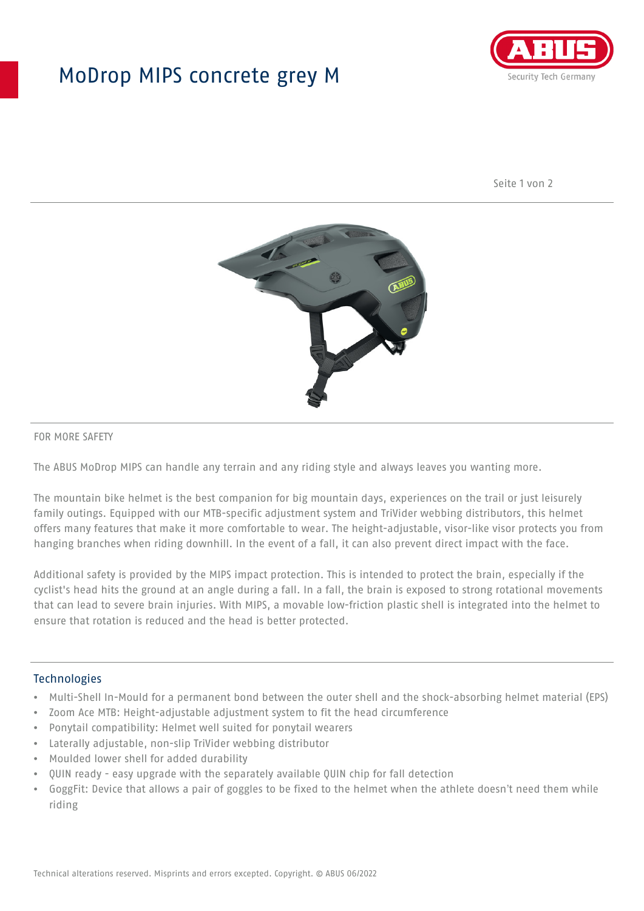## MoDrop MIPS concrete grey M



Seite 1 von 2



#### FOR MORE SAFETY

The ABUS MoDrop MIPS can handle any terrain and any riding style and always leaves you wanting more.

The mountain bike helmet is the best companion for big mountain days, experiences on the trail or just leisurely family outings. Equipped with our MTB-specific adjustment system and TriVider webbing distributors, this helmet offers many features that make it more comfortable to wear. The height-adjustable, visor-like visor protects you from hanging branches when riding downhill. In the event of a fall, it can also prevent direct impact with the face.

Additional safety is provided by the MIPS impact protection. This is intended to protect the brain, especially if the cyclist's head hits the ground at an angle during a fall. In a fall, the brain is exposed to strong rotational movements that can lead to severe brain injuries. With MIPS, a movable low-friction plastic shell is integrated into the helmet to ensure that rotation is reduced and the head is better protected.

#### Technologies

- Multi-Shell In-Mould for a permanent bond between the outer shell and the shock-absorbing helmet material (EPS)
- Zoom Ace MTB: Height-adjustable adjustment system to fit the head circumference
- Ponytail compatibility: Helmet well suited for ponytail wearers
- Laterally adjustable, non-slip TriVider webbing distributor
- Moulded lower shell for added durability
- QUIN ready easy upgrade with the separately available QUIN chip for fall detection
- GoggFit: Device that allows a pair of goggles to be fixed to the helmet when the athlete doesn't need them while riding